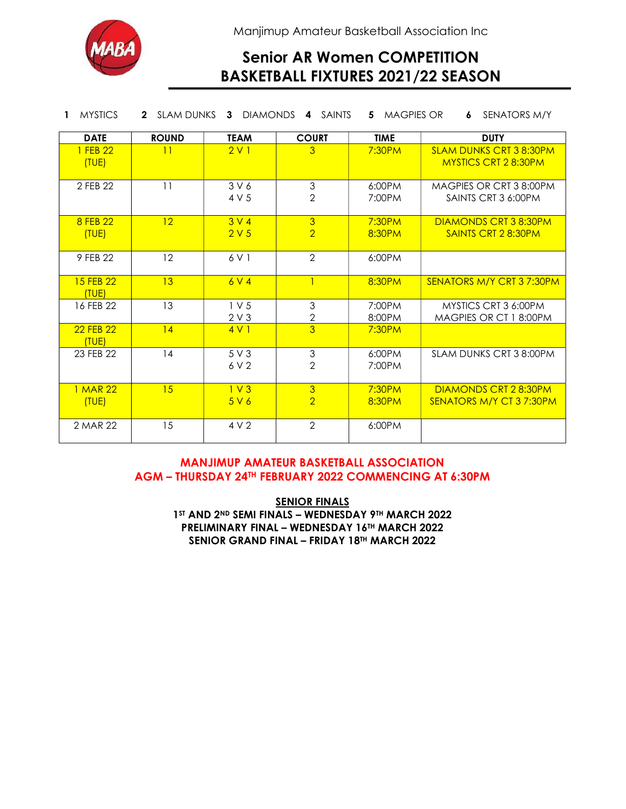

Manjimup Amateur Basketball Association Inc

# Senior AR Women COMPETITION BASKETBALL FIXTURES 2021/22 SEASON

| <b>MYSTICS</b>     | SLAM DUNKS<br>$\mathbf{2}$ |                          | 3 DIAMONDS 4 SAINTS                         | <b>MAGPIES OR</b><br>5. | SENATORS M/Y<br>6                                             |
|--------------------|----------------------------|--------------------------|---------------------------------------------|-------------------------|---------------------------------------------------------------|
| <b>DATE</b>        | <b>ROUND</b>               | <b>TEAM</b>              | <b>COURT</b>                                | <b>TIME</b>             | <b>DUTY</b>                                                   |
| 1 FEB 22<br>(TUE)  | 11                         | 2V1                      | 3                                           | 7:30PM                  | <b>SLAM DUNKS CRT 3 8:30PM</b><br><b>MYSTICS CRT 2 8:30PM</b> |
| 2 FEB 22           | 11                         | 3V6<br>4 V 5             | $\ensuremath{\mathsf{3}}$<br>$\overline{2}$ | 6:00PM<br>7:00PM        | MAGPIES OR CRT 3 8:00PM<br>SAINTS CRT 3 6:00PM                |
| 8 FEB 22<br>(TUE)  | 12                         | 3 V 4<br>2V <sub>5</sub> | $\overline{3}$<br>$\overline{2}$            | 7:30PM<br>8:30PM        | <b>DIAMONDS CRT 3 8:30PM</b><br>SAINTS CRT 2 8:30PM           |
| 9 FEB 22           | 12                         | 6 V 1                    | $\overline{2}$                              | 6:00PM                  |                                                               |
| 15 FEB 22<br>(TUE) | 13                         | 6V4                      | $\overline{1}$                              | 8:30PM                  | SENATORS M/Y CRT 37:30PM                                      |
| 16 FEB 22          | 13                         | 1 V <sub>5</sub><br>2V3  | $\mathfrak{S}$<br>$\overline{2}$            | 7:00PM<br>8:00PM        | MYSTICS CRT 3 6:00PM<br>MAGPIES OR CT 1 8:00PM                |
| 22 FEB 22<br>(TUE) | 4                          | 4V1                      | $\overline{3}$                              | 7:30PM                  |                                                               |
| 23 FEB 22          | 14                         | 5V3<br>6 V 2             | 3<br>$\overline{2}$                         | 6:00PM<br>7:00PM        | SLAM DUNKS CRT 3 8:00PM                                       |
| 1 MAR 22<br>(TUE)  | 15                         | 1 <sup>V</sup> 3<br>5V6  | $\overline{3}$<br>$\overline{2}$            | 7:30PM<br>8:30PM        | DIAMONDS CRT 28:30PM<br>SENATORS M/Y CT 37:30PM               |
| 2 MAR 22           | 15                         | 4 V 2                    | $\overline{2}$                              | 6:00PM                  |                                                               |

### MANJIMUP AMATEUR BASKETBALL ASSOCIATION AGM – THURSDAY 24TH FEBRUARY 2022 COMMENCING AT 6:30PM

**SENIOR FINALS** 1ST AND 2ND SEMI FINALS - WEDNESDAY 9TH MARCH 2022 PRELIMINARY FINAL – WEDNESDAY 16TH MARCH 2022 SENIOR GRAND FINAL - FRIDAY 18TH MARCH 2022